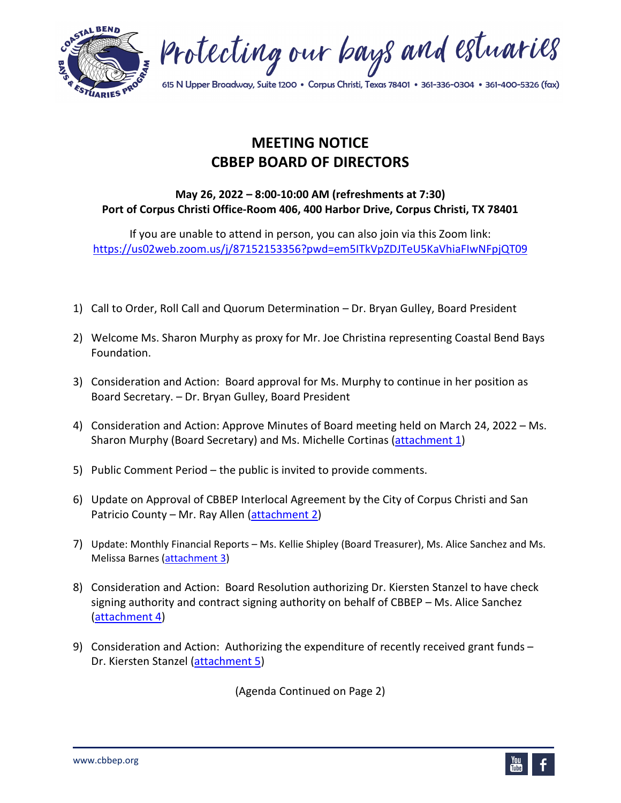



615 N Upper Broadway, Suite 1200 • Corpus Christi, Texas 78401 • 361-336-0304 • 361-400-5326 (fax)

## **MEETING NOTICE CBBEP BOARD OF DIRECTORS**

## **May 26, 2022 – 8:00-10:00 AM (refreshments at 7:30) Port of Corpus Christi Office-Room 406, 400 Harbor Drive, Corpus Christi, TX 78401**

If you are unable to attend in person, you can also join via this Zoom link: <https://us02web.zoom.us/j/87152153356?pwd=em5ITkVpZDJTeU5KaVhiaFIwNFpjQT09>

- 1) Call to Order, Roll Call and Quorum Determination Dr. Bryan Gulley, Board President
- 2) Welcome Ms. Sharon Murphy as proxy for Mr. Joe Christina representing Coastal Bend Bays Foundation.
- 3) Consideration and Action: Board approval for Ms. Murphy to continue in her position as Board Secretary. – Dr. Bryan Gulley, Board President
- 4) Consideration and Action: Approve Minutes of Board meeting held on March 24, 2022 Ms. Sharon Murphy (Board Secretary) and Ms. Michelle Cortinas [\(attachment](https://www.cbbep.org/manager/wp-content/uploads/Att01-05262022.pdf) 1)
- 5) Public Comment Period the public is invited to provide comments.
- 6) Update on Approval of CBBEP Interlocal Agreement by the City of Corpus Christi and San Patricio County – Mr. Ray Allen [\(attachment 2\)](https://www.cbbep.org/manager/wp-content/uploads/Att02-05262022.pdf)
- 7) Update: Monthly Financial Reports Ms. Kellie Shipley (Board Treasurer), Ms. Alice Sanchez and Ms. Melissa Barnes [\(attachment 3\)](https://www.cbbep.org/manager/wp-content/uploads/Att03-05262022.pdf)
- 8) Consideration and Action: Board Resolution authorizing Dr. Kiersten Stanzel to have check signing authority and contract signing authority on behalf of CBBEP – Ms. Alice Sanchez [\(attachment 4\)](https://www.cbbep.org/manager/wp-content/uploads/Att04-05262022.pdf)
- 9) Consideration and Action: Authorizing the expenditure of recently received grant funds -Dr. Kiersten Stanzel [\(attachment 5\)](https://www.cbbep.org/manager/wp-content/uploads/Att05-05262022.pdf)

(Agenda Continued on Page 2)